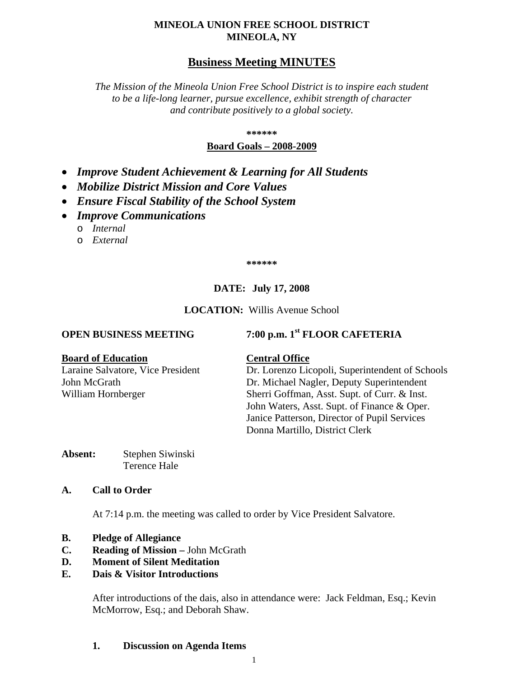# **MINEOLA UNION FREE SCHOOL DISTRICT MINEOLA, NY**

# **Business Meeting MINUTES**

*The Mission of the Mineola Union Free School District is to inspire each student to be a life-long learner, pursue excellence, exhibit strength of character and contribute positively to a global society.*

**\*\*\*\*\*\***

## **Board Goals – 2008-2009**

- *Improve Student Achievement & Learning for All Students*
- *Mobilize District Mission and Core Values*
- *Ensure Fiscal Stability of the School System*
- *Improve Communications*
	- o *Internal*
	- o *External*

**\*\*\*\*\*\***

# **DATE: July 17, 2008**

## **LOCATION:** Willis Avenue School

# **OPEN BUSINESS MEETING 7:00 p.m. 1st FLOOR CAFETERIA**

#### **Board of Education Central Office**

Laraine Salvatore, Vice President Dr. Lorenzo Licopoli, Superintendent of Schools John McGrath Dr. Michael Nagler, Deputy Superintendent William Hornberger Sherri Goffman, Asst. Supt. of Curr. & Inst. John Waters, Asst. Supt. of Finance & Oper. Janice Patterson, Director of Pupil Services Donna Martillo, District Clerk

**Absent:** Stephen Siwinski Terence Hale

## **A. Call to Order**

At 7:14 p.m. the meeting was called to order by Vice President Salvatore.

- **B. Pledge of Allegiance**
- **C. Reading of Mission –** John McGrath
- **D. Moment of Silent Meditation**

## **E. Dais & Visitor Introductions**

After introductions of the dais, also in attendance were: Jack Feldman, Esq.; Kevin McMorrow, Esq.; and Deborah Shaw.

## **1. Discussion on Agenda Items**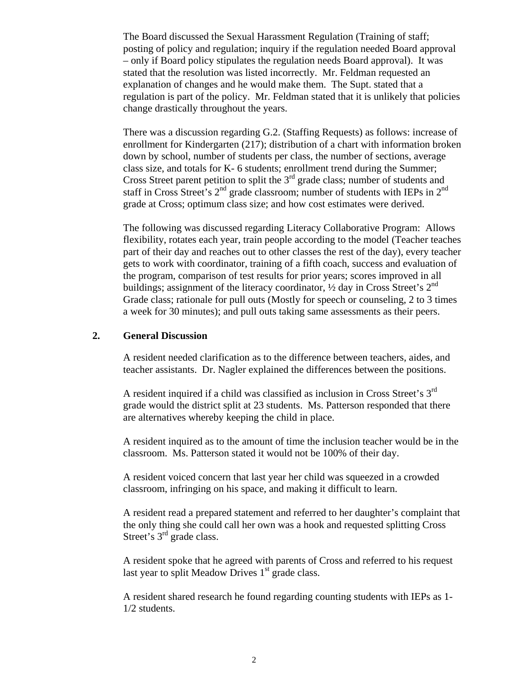The Board discussed the Sexual Harassment Regulation (Training of staff; posting of policy and regulation; inquiry if the regulation needed Board approval – only if Board policy stipulates the regulation needs Board approval). It was stated that the resolution was listed incorrectly. Mr. Feldman requested an explanation of changes and he would make them. The Supt. stated that a regulation is part of the policy. Mr. Feldman stated that it is unlikely that policies change drastically throughout the years.

There was a discussion regarding G.2. (Staffing Requests) as follows: increase of enrollment for Kindergarten (217); distribution of a chart with information broken down by school, number of students per class, the number of sections, average class size, and totals for K- 6 students; enrollment trend during the Summer; Cross Street parent petition to split the 3<sup>rd</sup> grade class; number of students and staff in Cross Street's  $2^{nd}$  grade classroom; number of students with IEPs in  $2^{nd}$ grade at Cross; optimum class size; and how cost estimates were derived.

The following was discussed regarding Literacy Collaborative Program: Allows flexibility, rotates each year, train people according to the model (Teacher teaches part of their day and reaches out to other classes the rest of the day), every teacher gets to work with coordinator, training of a fifth coach, success and evaluation of the program, comparison of test results for prior years; scores improved in all buildings; assignment of the literacy coordinator,  $\frac{1}{2}$  day in Cross Street's  $2^{nd}$ Grade class; rationale for pull outs (Mostly for speech or counseling, 2 to 3 times a week for 30 minutes); and pull outs taking same assessments as their peers.

## **2. General Discussion**

A resident needed clarification as to the difference between teachers, aides, and teacher assistants. Dr. Nagler explained the differences between the positions.

A resident inquired if a child was classified as inclusion in Cross Street's 3<sup>rd</sup> grade would the district split at 23 students. Ms. Patterson responded that there are alternatives whereby keeping the child in place.

A resident inquired as to the amount of time the inclusion teacher would be in the classroom. Ms. Patterson stated it would not be 100% of their day.

A resident voiced concern that last year her child was squeezed in a crowded classroom, infringing on his space, and making it difficult to learn.

A resident read a prepared statement and referred to her daughter's complaint that the only thing she could call her own was a hook and requested splitting Cross Street's 3<sup>rd</sup> grade class.

A resident spoke that he agreed with parents of Cross and referred to his request last year to split Meadow Drives  $1<sup>st</sup>$  grade class.

A resident shared research he found regarding counting students with IEPs as 1- 1/2 students.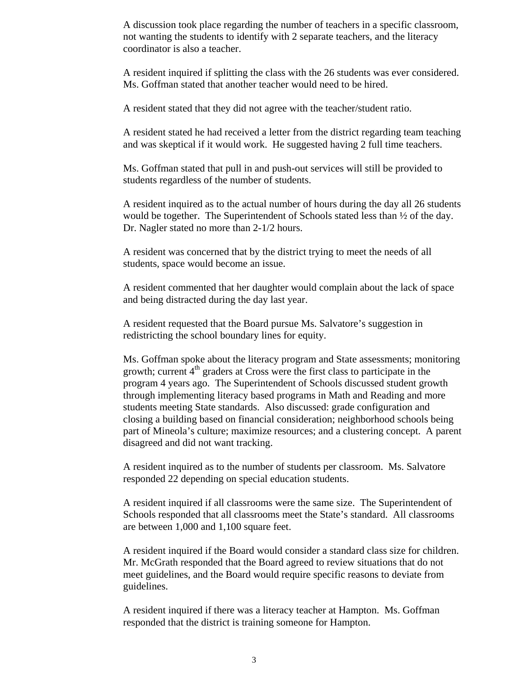A discussion took place regarding the number of teachers in a specific classroom, not wanting the students to identify with 2 separate teachers, and the literacy coordinator is also a teacher.

A resident inquired if splitting the class with the 26 students was ever considered. Ms. Goffman stated that another teacher would need to be hired.

A resident stated that they did not agree with the teacher/student ratio.

A resident stated he had received a letter from the district regarding team teaching and was skeptical if it would work. He suggested having 2 full time teachers.

Ms. Goffman stated that pull in and push-out services will still be provided to students regardless of the number of students.

A resident inquired as to the actual number of hours during the day all 26 students would be together. The Superintendent of Schools stated less than ½ of the day. Dr. Nagler stated no more than 2-1/2 hours.

A resident was concerned that by the district trying to meet the needs of all students, space would become an issue.

A resident commented that her daughter would complain about the lack of space and being distracted during the day last year.

A resident requested that the Board pursue Ms. Salvatore's suggestion in redistricting the school boundary lines for equity.

Ms. Goffman spoke about the literacy program and State assessments; monitoring growth; current  $4<sup>th</sup>$  graders at Cross were the first class to participate in the program 4 years ago. The Superintendent of Schools discussed student growth through implementing literacy based programs in Math and Reading and more students meeting State standards. Also discussed: grade configuration and closing a building based on financial consideration; neighborhood schools being part of Mineola's culture; maximize resources; and a clustering concept. A parent disagreed and did not want tracking.

A resident inquired as to the number of students per classroom. Ms. Salvatore responded 22 depending on special education students.

A resident inquired if all classrooms were the same size. The Superintendent of Schools responded that all classrooms meet the State's standard. All classrooms are between 1,000 and 1,100 square feet.

A resident inquired if the Board would consider a standard class size for children. Mr. McGrath responded that the Board agreed to review situations that do not meet guidelines, and the Board would require specific reasons to deviate from guidelines.

A resident inquired if there was a literacy teacher at Hampton. Ms. Goffman responded that the district is training someone for Hampton.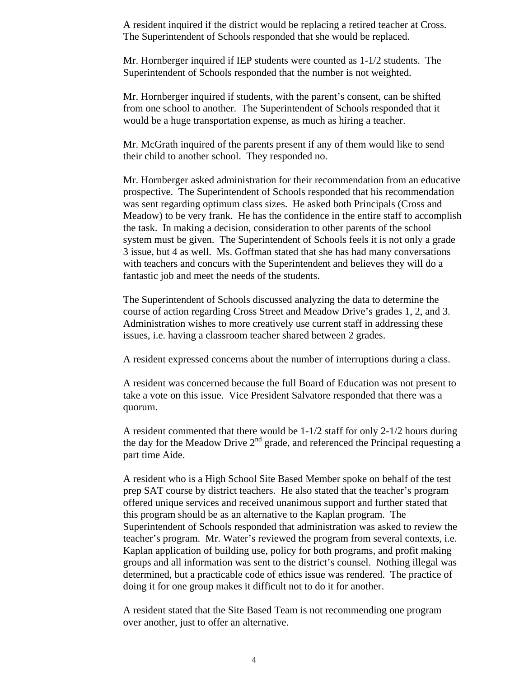A resident inquired if the district would be replacing a retired teacher at Cross. The Superintendent of Schools responded that she would be replaced.

Mr. Hornberger inquired if IEP students were counted as 1-1/2 students. The Superintendent of Schools responded that the number is not weighted.

Mr. Hornberger inquired if students, with the parent's consent, can be shifted from one school to another. The Superintendent of Schools responded that it would be a huge transportation expense, as much as hiring a teacher.

Mr. McGrath inquired of the parents present if any of them would like to send their child to another school. They responded no.

Mr. Hornberger asked administration for their recommendation from an educative prospective. The Superintendent of Schools responded that his recommendation was sent regarding optimum class sizes. He asked both Principals (Cross and Meadow) to be very frank. He has the confidence in the entire staff to accomplish the task. In making a decision, consideration to other parents of the school system must be given. The Superintendent of Schools feels it is not only a grade 3 issue, but 4 as well. Ms. Goffman stated that she has had many conversations with teachers and concurs with the Superintendent and believes they will do a fantastic job and meet the needs of the students.

The Superintendent of Schools discussed analyzing the data to determine the course of action regarding Cross Street and Meadow Drive's grades 1, 2, and 3. Administration wishes to more creatively use current staff in addressing these issues, i.e. having a classroom teacher shared between 2 grades.

A resident expressed concerns about the number of interruptions during a class.

A resident was concerned because the full Board of Education was not present to take a vote on this issue. Vice President Salvatore responded that there was a quorum.

A resident commented that there would be 1-1/2 staff for only 2-1/2 hours during the day for the Meadow Drive  $2<sup>nd</sup>$  grade, and referenced the Principal requesting a part time Aide.

A resident who is a High School Site Based Member spoke on behalf of the test prep SAT course by district teachers. He also stated that the teacher's program offered unique services and received unanimous support and further stated that this program should be as an alternative to the Kaplan program. The Superintendent of Schools responded that administration was asked to review the teacher's program. Mr. Water's reviewed the program from several contexts, i.e. Kaplan application of building use, policy for both programs, and profit making groups and all information was sent to the district's counsel. Nothing illegal was determined, but a practicable code of ethics issue was rendered. The practice of doing it for one group makes it difficult not to do it for another.

A resident stated that the Site Based Team is not recommending one program over another, just to offer an alternative.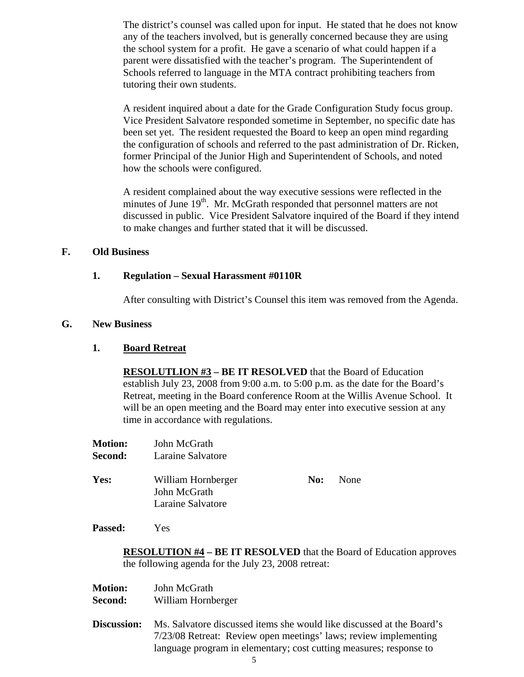The district's counsel was called upon for input. He stated that he does not know any of the teachers involved, but is generally concerned because they are using the school system for a profit. He gave a scenario of what could happen if a parent were dissatisfied with the teacher's program. The Superintendent of Schools referred to language in the MTA contract prohibiting teachers from tutoring their own students.

A resident inquired about a date for the Grade Configuration Study focus group. Vice President Salvatore responded sometime in September, no specific date has been set yet. The resident requested the Board to keep an open mind regarding the configuration of schools and referred to the past administration of Dr. Ricken, former Principal of the Junior High and Superintendent of Schools, and noted how the schools were configured.

A resident complained about the way executive sessions were reflected in the minutes of June 19<sup>th</sup>. Mr. McGrath responded that personnel matters are not discussed in public. Vice President Salvatore inquired of the Board if they intend to make changes and further stated that it will be discussed.

## **F. Old Business**

## **1. Regulation – Sexual Harassment #0110R**

After consulting with District's Counsel this item was removed from the Agenda.

#### **G. New Business**

#### **1. Board Retreat**

**RESOLUTLION #3 – BE IT RESOLVED** that the Board of Education establish July 23, 2008 from 9:00 a.m. to 5:00 p.m. as the date for the Board's Retreat, meeting in the Board conference Room at the Willis Avenue School. It will be an open meeting and the Board may enter into executive session at any time in accordance with regulations.

| <b>Motion:</b> | John McGrath      |
|----------------|-------------------|
| <b>Second:</b> | Laraine Salvatore |
|                |                   |

**Yes:** William Hornberger **No:** None John McGrath Laraine Salvatore

#### **Passed:** Yes

**RESOLUTION #4 – BE IT RESOLVED** that the Board of Education approves the following agenda for the July 23, 2008 retreat:

| <b>Motion:</b> | John McGrath       |
|----------------|--------------------|
| <b>Second:</b> | William Hornberger |

**Discussion:** Ms. Salvatore discussed items she would like discussed at the Board's 7/23/08 Retreat: Review open meetings' laws; review implementing language program in elementary; cost cutting measures; response to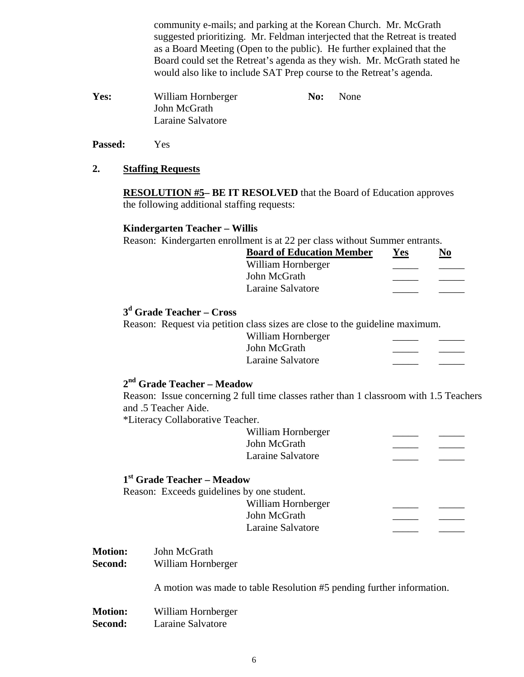community e-mails; and parking at the Korean Church. Mr. McGrath suggested prioritizing. Mr. Feldman interjected that the Retreat is treated as a Board Meeting (Open to the public). He further explained that the Board could set the Retreat's agenda as they wish. Mr. McGrath stated he would also like to include SAT Prep course to the Retreat's agenda.

| Yes: | William Hornberger | No: | None |
|------|--------------------|-----|------|
|      | John McGrath       |     |      |
|      | Laraine Salvatore  |     |      |

**Passed:** Yes

## **2. Staffing Requests**

**RESOLUTION #5– BE IT RESOLVED** that the Board of Education approves the following additional staffing requests:

## **Kindergarten Teacher – Willis**

Reason: Kindergarten enrollment is at 22 per class without Summer entrants.

| Yes | NΛ |
|-----|----|
|     |    |
|     |    |
|     |    |
|     |    |

# **3d Grade Teacher – Cross**

Reason: Request via petition class sizes are close to the guideline maximum.

| William Hornberger |  |  |
|--------------------|--|--|
| John McGrath       |  |  |
| Laraine Salvatore  |  |  |
|                    |  |  |

# **2nd Grade Teacher – Meadow**

Reason: Issue concerning 2 full time classes rather than 1 classroom with 1.5 Teachers and .5 Teacher Aide.

\*Literacy Collaborative Teacher.

| William Hornberger |  |
|--------------------|--|
| John McGrath       |  |
| Laraine Salvatore  |  |

## **1st Grade Teacher – Meadow**

Reason: Exceeds guidelines by one student. William Hornberger John McGrath Laraine Salvatore

- **Motion:** John McGrath
- **Second:** William Hornberger

A motion was made to table Resolution #5 pending further information.

**Motion:** William Hornberger **Second:** Laraine Salvatore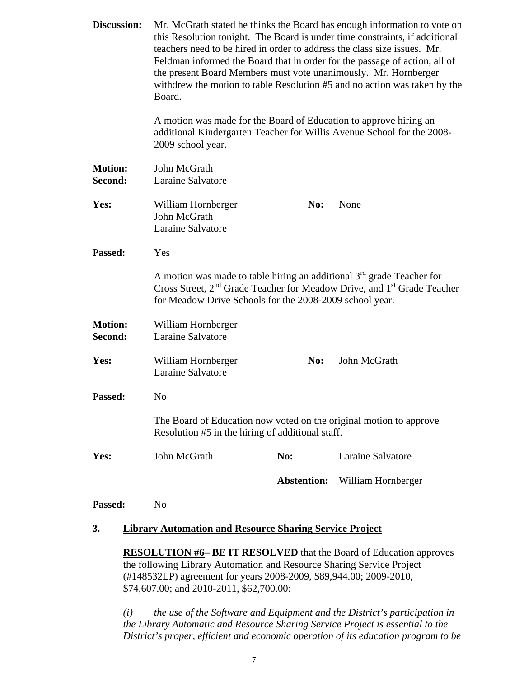| Discussion:                                                               | Mr. McGrath stated he thinks the Board has enough information to vote on<br>this Resolution tonight. The Board is under time constraints, if additional<br>teachers need to be hired in order to address the class size issues. Mr.<br>Feldman informed the Board that in order for the passage of action, all of<br>the present Board Members must vote unanimously. Mr. Hornberger<br>withdrew the motion to table Resolution #5 and no action was taken by the<br>Board.<br>A motion was made for the Board of Education to approve hiring an<br>additional Kindergarten Teacher for Willis Avenue School for the 2008- |                    |                                                                                                 |
|---------------------------------------------------------------------------|----------------------------------------------------------------------------------------------------------------------------------------------------------------------------------------------------------------------------------------------------------------------------------------------------------------------------------------------------------------------------------------------------------------------------------------------------------------------------------------------------------------------------------------------------------------------------------------------------------------------------|--------------------|-------------------------------------------------------------------------------------------------|
|                                                                           | 2009 school year.                                                                                                                                                                                                                                                                                                                                                                                                                                                                                                                                                                                                          |                    |                                                                                                 |
| <b>Motion:</b><br>Second:                                                 | John McGrath<br>Laraine Salvatore                                                                                                                                                                                                                                                                                                                                                                                                                                                                                                                                                                                          |                    |                                                                                                 |
| Yes:                                                                      | William Hornberger<br>John McGrath<br>Laraine Salvatore                                                                                                                                                                                                                                                                                                                                                                                                                                                                                                                                                                    | No:                | None                                                                                            |
| Passed:                                                                   | Yes                                                                                                                                                                                                                                                                                                                                                                                                                                                                                                                                                                                                                        |                    |                                                                                                 |
|                                                                           | A motion was made to table hiring an additional $3rd$ grade Teacher for<br>for Meadow Drive Schools for the 2008-2009 school year.                                                                                                                                                                                                                                                                                                                                                                                                                                                                                         |                    | Cross Street, 2 <sup>nd</sup> Grade Teacher for Meadow Drive, and 1 <sup>st</sup> Grade Teacher |
| <b>Motion:</b><br>Second:                                                 | William Hornberger<br>Laraine Salvatore                                                                                                                                                                                                                                                                                                                                                                                                                                                                                                                                                                                    |                    |                                                                                                 |
| Yes:                                                                      | William Hornberger<br>Laraine Salvatore                                                                                                                                                                                                                                                                                                                                                                                                                                                                                                                                                                                    | No:                | John McGrath                                                                                    |
| Passed:                                                                   | No                                                                                                                                                                                                                                                                                                                                                                                                                                                                                                                                                                                                                         |                    |                                                                                                 |
|                                                                           | The Board of Education now voted on the original motion to approve<br>Resolution #5 in the hiring of additional staff.                                                                                                                                                                                                                                                                                                                                                                                                                                                                                                     |                    |                                                                                                 |
| Yes:                                                                      | John McGrath                                                                                                                                                                                                                                                                                                                                                                                                                                                                                                                                                                                                               | No:                | Laraine Salvatore                                                                               |
|                                                                           |                                                                                                                                                                                                                                                                                                                                                                                                                                                                                                                                                                                                                            | <b>Abstention:</b> | William Hornberger                                                                              |
| Passed:                                                                   | N <sub>o</sub>                                                                                                                                                                                                                                                                                                                                                                                                                                                                                                                                                                                                             |                    |                                                                                                 |
| 3.                                                                        | <b>Library Automation and Resource Sharing Service Project</b>                                                                                                                                                                                                                                                                                                                                                                                                                                                                                                                                                             |                    |                                                                                                 |
| <b>RESOLUTION #6– BE IT RESOLVED</b> that the Board of Education approves |                                                                                                                                                                                                                                                                                                                                                                                                                                                                                                                                                                                                                            |                    |                                                                                                 |
|                                                                           |                                                                                                                                                                                                                                                                                                                                                                                                                                                                                                                                                                                                                            |                    |                                                                                                 |

the following Library Automation and Resource Sharing Service Project (#148532LP) agreement for years 2008-2009, \$89,944.00; 2009-2010, \$74,607.00; and 2010-2011, \$62,700.00:

*(i) the use of the Software and Equipment and the District's participation in the Library Automatic and Resource Sharing Service Project is essential to the District's proper, efficient and economic operation of its education program to be*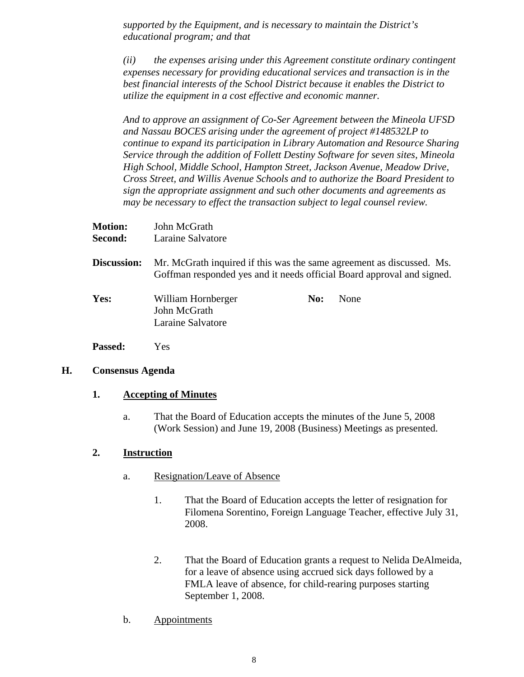*supported by the Equipment, and is necessary to maintain the District's educational program; and that*

*(ii) the expenses arising under this Agreement constitute ordinary contingent expenses necessary for providing educational services and transaction is in the best financial interests of the School District because it enables the District to utilize the equipment in a cost effective and economic manner.*

*And to approve an assignment of Co-Ser Agreement between the Mineola UFSD and Nassau BOCES arising under the agreement of project #148532LP to continue to expand its participation in Library Automation and Resource Sharing Service through the addition of Follett Destiny Software for seven sites, Mineola High School, Middle School, Hampton Street, Jackson Avenue, Meadow Drive, Cross Street, and Willis Avenue Schools and to authorize the Board President to sign the appropriate assignment and such other documents and agreements as may be necessary to effect the transaction subject to legal counsel review.*

| <b>Motion:</b> | John McGrath                                            |     |                                                                                                                                                 |
|----------------|---------------------------------------------------------|-----|-------------------------------------------------------------------------------------------------------------------------------------------------|
| Second:        | Laraine Salvatore                                       |     |                                                                                                                                                 |
| Discussion:    |                                                         |     | Mr. McGrath inquired if this was the same agreement as discussed. Ms.<br>Goffman responded yes and it needs official Board approval and signed. |
| Yes:           | William Hornberger<br>John McGrath<br>Laraine Salvatore | No: | None                                                                                                                                            |
| <b>Passed:</b> | Yes                                                     |     |                                                                                                                                                 |

## **H. Consensus Agenda**

# **1. Accepting of Minutes**

a. That the Board of Education accepts the minutes of the June 5, 2008 (Work Session) and June 19, 2008 (Business) Meetings as presented.

# **2. Instruction**

- a. Resignation/Leave of Absence
	- 1. That the Board of Education accepts the letter of resignation for Filomena Sorentino, Foreign Language Teacher, effective July 31, 2008.
	- 2. That the Board of Education grants a request to Nelida DeAlmeida, for a leave of absence using accrued sick days followed by a FMLA leave of absence, for child-rearing purposes starting September 1, 2008.
- b. Appointments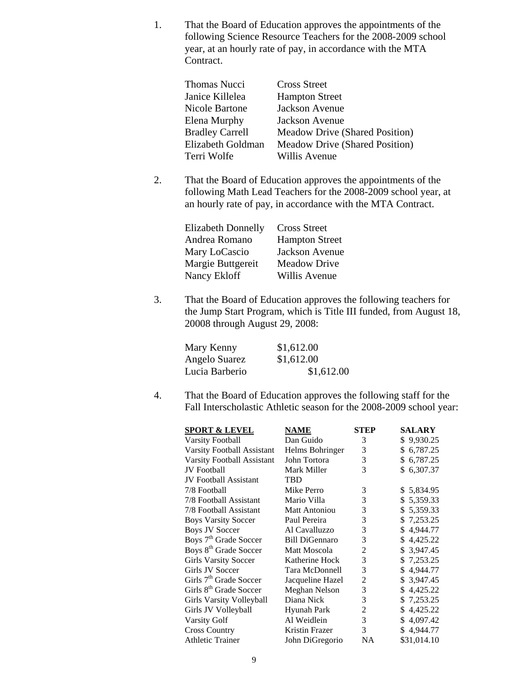1. That the Board of Education approves the appointments of the following Science Resource Teachers for the 2008-2009 school year, at an hourly rate of pay, in accordance with the MTA Contract.

| Thomas Nucci           | <b>Cross Street</b>                   |
|------------------------|---------------------------------------|
| Janice Killelea        | <b>Hampton Street</b>                 |
| <b>Nicole Bartone</b>  | Jackson Avenue                        |
| Elena Murphy           | Jackson Avenue                        |
| <b>Bradley Carrell</b> | <b>Meadow Drive (Shared Position)</b> |
| Elizabeth Goldman      | <b>Meadow Drive (Shared Position)</b> |
| Terri Wolfe            | Willis Avenue                         |
|                        |                                       |

2. That the Board of Education approves the appointments of the following Math Lead Teachers for the 2008-2009 school year, at an hourly rate of pay, in accordance with the MTA Contract.

| <b>Elizabeth Donnelly</b> | <b>Cross Street</b>   |
|---------------------------|-----------------------|
| Andrea Romano             | <b>Hampton Street</b> |
| Mary LoCascio             | Jackson Avenue        |
| Margie Buttgereit         | <b>Meadow Drive</b>   |
| Nancy Ekloff              | Willis Avenue         |

3. That the Board of Education approves the following teachers for the Jump Start Program, which is Title III funded, from August 18, 20008 through August 29, 2008:

| Mary Kenny     | \$1,612.00 |
|----------------|------------|
| Angelo Suarez  | \$1,612.00 |
| Lucia Barberio | \$1,612.00 |

4. That the Board of Education approves the following staff for the Fall Interscholastic Athletic season for the 2008-2009 school year:

| <u>SPORT &amp; LEVEL</u>           | <b>NAME</b>           | <b>STEP</b>    | <b>SALARY</b>  |
|------------------------------------|-----------------------|----------------|----------------|
| <b>Varsity Football</b>            | Dan Guido             | 3              | \$9,930.25     |
| Varsity Football Assistant         | Helms Bohringer       | 3              | \$6,787.25     |
| Varsity Football Assistant         | John Tortora          | 3              | \$6,787.25     |
| <b>JV</b> Football                 | Mark Miller           | 3              | \$6,307.37     |
| <b>JV</b> Football Assistant       | <b>TBD</b>            |                |                |
| 7/8 Football                       | Mike Perro            | 3              | \$5,834.95     |
| 7/8 Football Assistant             | Mario Villa           | 3              | \$5,359.33     |
| 7/8 Football Assistant             | <b>Matt Antoniou</b>  | 3              | \$5,359.33     |
| <b>Boys Varsity Soccer</b>         | Paul Pereira          | 3              | \$7,253.25     |
| <b>Boys JV Soccer</b>              | Al Cavalluzzo         | 3              | 4,944.77<br>\$ |
| Boys 7 <sup>th</sup> Grade Soccer  | <b>Bill DiGennaro</b> | 3              | \$4,425.22     |
| Boys 8 <sup>th</sup> Grade Soccer  | <b>Matt Moscola</b>   | $\overline{2}$ | \$ 3,947.45    |
| <b>Girls Varsity Soccer</b>        | Katherine Hock        | 3              | \$7,253.25     |
| <b>Girls JV Soccer</b>             | Tara McDonnell        | 3              | \$4,944.77     |
| Girls 7 <sup>th</sup> Grade Soccer | Jacqueline Hazel      | $\overline{2}$ | \$ 3,947.45    |
| Girls 8 <sup>th</sup> Grade Soccer | Meghan Nelson         | 3              | \$4,425.22     |
| Girls Varsity Volleyball           | Diana Nick            | 3              | \$7,253.25     |
| Girls JV Volleyball                | <b>Hyunah Park</b>    | $\overline{c}$ | \$4,425.22     |
| <b>Varsity Golf</b>                | Al Weidlein           | 3              | \$4,097.42     |
| <b>Cross Country</b>               | Kristin Frazer        | 3              | \$4,944.77     |
| <b>Athletic Trainer</b>            | John DiGregorio       | <b>NA</b>      | \$31,014.10    |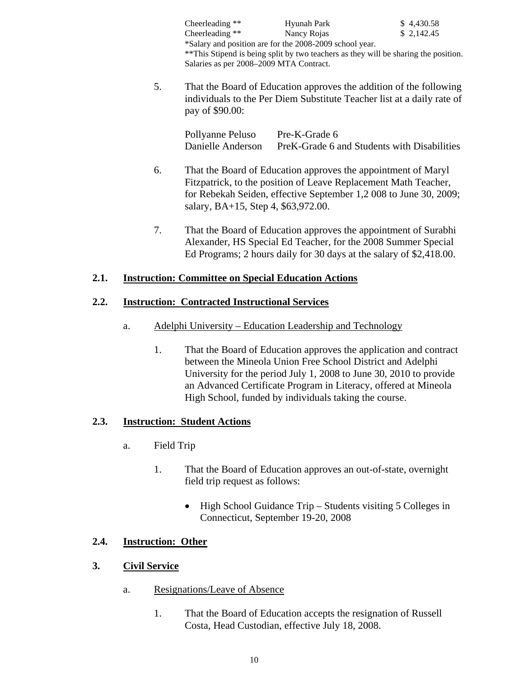|                                                                                                                                                                       | Cheerleading **                         | Hyunah Park                                                                          | \$4,430.58 |
|-----------------------------------------------------------------------------------------------------------------------------------------------------------------------|-----------------------------------------|--------------------------------------------------------------------------------------|------------|
|                                                                                                                                                                       | Cheerleading $**$                       | Nancy Rojas                                                                          | \$2,142.45 |
|                                                                                                                                                                       |                                         | *Salary and position are for the 2008-2009 school year.                              |            |
|                                                                                                                                                                       |                                         | ** This Stipend is being split by two teachers as they will be sharing the position. |            |
|                                                                                                                                                                       | Salaries as per 2008-2009 MTA Contract. |                                                                                      |            |
| 5.<br>That the Board of Education approves the addition of the following<br>individuals to the Per Diem Substitute Teacher list at a daily rate of<br>pay of \$90.00: |                                         |                                                                                      |            |
|                                                                                                                                                                       | Pollyanne Peluso                        | Pre-K-Grade 6                                                                        |            |
|                                                                                                                                                                       | Danielle Anderson                       | PreK-Grade 6 and Students with Disabilities                                          |            |
| 6.                                                                                                                                                                    |                                         | That the Board of Education approves the appointment of Maryl                        |            |

- 6. That the Board of Education approves the appointment of Maryl Fitzpatrick, to the position of Leave Replacement Math Teacher, for Rebekah Seiden, effective September 1,2 008 to June 30, 2009; salary, BA+15, Step 4, \$63,972.00.
- 7. That the Board of Education approves the appointment of Surabhi Alexander, HS Special Ed Teacher, for the 2008 Summer Special Ed Programs; 2 hours daily for 30 days at the salary of \$2,418.00.

# **2.1. Instruction: Committee on Special Education Actions**

# **2.2. Instruction: Contracted Instructional Services**

- a. Adelphi University Education Leadership and Technology
	- 1. That the Board of Education approves the application and contract between the Mineola Union Free School District and Adelphi University for the period July 1, 2008 to June 30, 2010 to provide an Advanced Certificate Program in Literacy, offered at Mineola High School, funded by individuals taking the course.

# **2.3. Instruction: Student Actions**

- a. Field Trip
	- 1. That the Board of Education approves an out-of-state, overnight field trip request as follows:
		- High School Guidance Trip Students visiting 5 Colleges in Connecticut, September 19-20, 2008

# **2.4. Instruction: Other**

# **3. Civil Service**

- a. Resignations/Leave of Absence
	- 1. That the Board of Education accepts the resignation of Russell Costa, Head Custodian, effective July 18, 2008.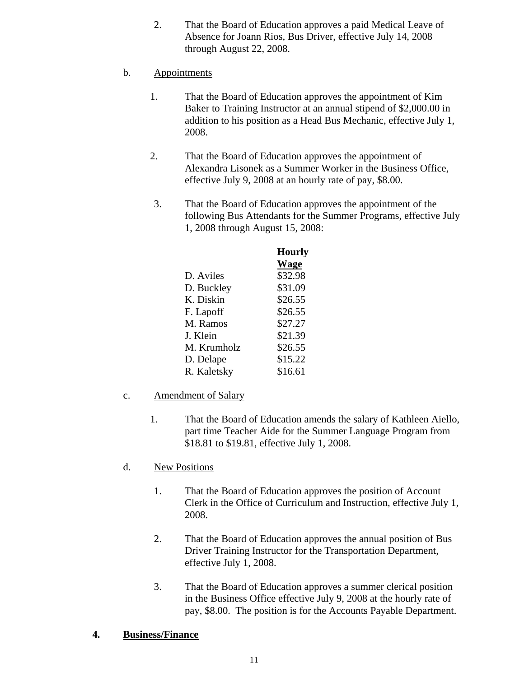- 2. That the Board of Education approves a paid Medical Leave of Absence for Joann Rios, Bus Driver, effective July 14, 2008 through August 22, 2008.
- b. Appointments
	- 1. That the Board of Education approves the appointment of Kim Baker to Training Instructor at an annual stipend of \$2,000.00 in addition to his position as a Head Bus Mechanic, effective July 1, 2008.
	- 2. That the Board of Education approves the appointment of Alexandra Lisonek as a Summer Worker in the Business Office, effective July 9, 2008 at an hourly rate of pay, \$8.00.
	- 3. That the Board of Education approves the appointment of the following Bus Attendants for the Summer Programs, effective July 1, 2008 through August 15, 2008:

|             | <b>Hourly</b> |
|-------------|---------------|
|             | <b>Wage</b>   |
| D. Aviles   | \$32.98       |
| D. Buckley  | \$31.09       |
| K. Diskin   | \$26.55       |
| F. Lapoff   | \$26.55       |
| M. Ramos    | \$27.27       |
| J. Klein    | \$21.39       |
| M. Krumholz | \$26.55       |
| D. Delape   | \$15.22       |
| R. Kaletsky | \$16.61       |
|             |               |

- c. Amendment of Salary
	- 1. That the Board of Education amends the salary of Kathleen Aiello, part time Teacher Aide for the Summer Language Program from \$18.81 to \$19.81, effective July 1, 2008.
- d. New Positions
	- 1. That the Board of Education approves the position of Account Clerk in the Office of Curriculum and Instruction, effective July 1, 2008.
	- 2. That the Board of Education approves the annual position of Bus Driver Training Instructor for the Transportation Department, effective July 1, 2008.
	- 3. That the Board of Education approves a summer clerical position in the Business Office effective July 9, 2008 at the hourly rate of pay, \$8.00. The position is for the Accounts Payable Department.

## **4. Business/Finance**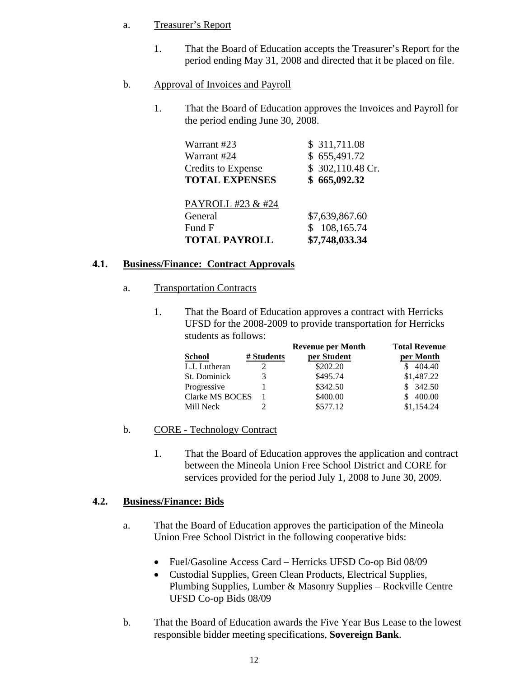# a. Treasurer's Report

- 1. That the Board of Education accepts the Treasurer's Report for the period ending May 31, 2008 and directed that it be placed on file.
- b. Approval of Invoices and Payroll
	- 1. That the Board of Education approves the Invoices and Payroll for the period ending June 30, 2008.

| Warrant #23<br>Warrant #24                         | \$ 311,711.08<br>\$655,491.72    |
|----------------------------------------------------|----------------------------------|
| <b>Credits to Expense</b><br><b>TOTAL EXPENSES</b> | \$302,110.48 Cr.<br>\$665,092.32 |
| PAYROLL #23 & #24                                  |                                  |
| General                                            | \$7,639,867.60                   |
| Fund F                                             | 108,165.74<br>\$                 |
| <b>TOTAL PAYROLL</b>                               | \$7,748,033.34                   |

# **4.1. Business/Finance: Contract Approvals**

- a. Transportation Contracts
	- 1. That the Board of Education approves a contract with Herricks UFSD for the 2008-2009 to provide transportation for Herricks students as follows:

|                 |            | <b>Revenue per Month</b> | <b>Total Revenue</b> |
|-----------------|------------|--------------------------|----------------------|
| <b>School</b>   | # Students | per Student              | per Month            |
| L.I. Lutheran   | ∍          | \$202.20                 | 404.40               |
| St. Dominick    |            | \$495.74                 | \$1,487.22           |
| Progressive     |            | \$342.50                 | \$342.50             |
| Clarke MS BOCES |            | \$400.00                 | 400.00               |
| Mill Neck       |            | \$577.12                 | \$1,154.24           |

# b. CORE - Technology Contract

1. That the Board of Education approves the application and contract between the Mineola Union Free School District and CORE for services provided for the period July 1, 2008 to June 30, 2009.

# **4.2. Business/Finance: Bids**

- a. That the Board of Education approves the participation of the Mineola Union Free School District in the following cooperative bids:
	- Fuel/Gasoline Access Card Herricks UFSD Co-op Bid 08/09
	- Custodial Supplies, Green Clean Products, Electrical Supplies, Plumbing Supplies, Lumber & Masonry Supplies – Rockville Centre UFSD Co-op Bids 08/09
- b. That the Board of Education awards the Five Year Bus Lease to the lowest responsible bidder meeting specifications, **Sovereign Bank**.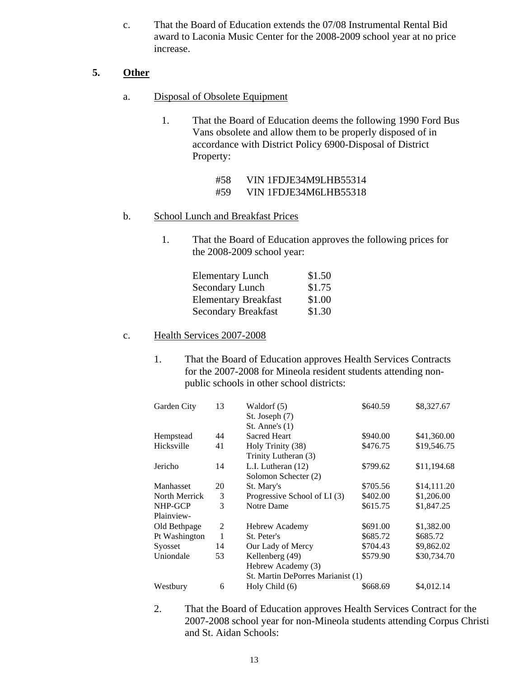c. That the Board of Education extends the 07/08 Instrumental Rental Bid award to Laconia Music Center for the 2008-2009 school year at no price increase.

# **5. Other**

- a. Disposal of Obsolete Equipment
	- 1. That the Board of Education deems the following 1990 Ford Bus Vans obsolete and allow them to be properly disposed of in accordance with District Policy 6900-Disposal of District Property:
		- #58 VIN 1FDJE34M9LHB55314 #59 VIN 1FDJE34M6LHB55318

# b. School Lunch and Breakfast Prices

1. That the Board of Education approves the following prices for the 2008-2009 school year:

| <b>Elementary Lunch</b>     | \$1.50 |
|-----------------------------|--------|
| <b>Secondary Lunch</b>      | \$1.75 |
| <b>Elementary Breakfast</b> | \$1.00 |
| <b>Secondary Breakfast</b>  | \$1.30 |

# c. Health Services 2007-2008

1. That the Board of Education approves Health Services Contracts for the 2007-2008 for Mineola resident students attending nonpublic schools in other school districts:

| Garden City   | 13 | Waldorf (5)                       | \$640.59 | \$8,327.67  |
|---------------|----|-----------------------------------|----------|-------------|
|               |    | St. Joseph (7)                    |          |             |
|               |    | St. Anne's $(1)$                  |          |             |
| Hempstead     | 44 | <b>Sacred Heart</b>               | \$940.00 | \$41,360.00 |
| Hicksville    | 41 | Holy Trinity (38)                 | \$476.75 | \$19,546.75 |
|               |    | Trinity Lutheran (3)              |          |             |
| Jericho       | 14 | L.I. Lutheran (12)                | \$799.62 | \$11,194.68 |
|               |    | Solomon Schecter (2)              |          |             |
| Manhasset     | 20 | St. Mary's                        | \$705.56 | \$14,111.20 |
| North Merrick | 3  | Progressive School of LI (3)      | \$402.00 | \$1,206.00  |
| NHP-GCP       | 3  | Notre Dame                        | \$615.75 | \$1,847.25  |
| Plainview-    |    |                                   |          |             |
| Old Bethpage  | 2  | <b>Hebrew Academy</b>             | \$691.00 | \$1,382.00  |
| Pt Washington | 1  | St. Peter's                       | \$685.72 | \$685.72    |
| Syosset       | 14 | Our Lady of Mercy                 | \$704.43 | \$9,862.02  |
| Uniondale     | 53 | Kellenberg (49)                   | \$579.90 | \$30,734.70 |
|               |    | Hebrew Academy (3)                |          |             |
|               |    | St. Martin DePorres Marianist (1) |          |             |
| Westbury      | 6  | Holy Child (6)                    | \$668.69 | \$4,012.14  |

2. That the Board of Education approves Health Services Contract for the 2007-2008 school year for non-Mineola students attending Corpus Christi and St. Aidan Schools: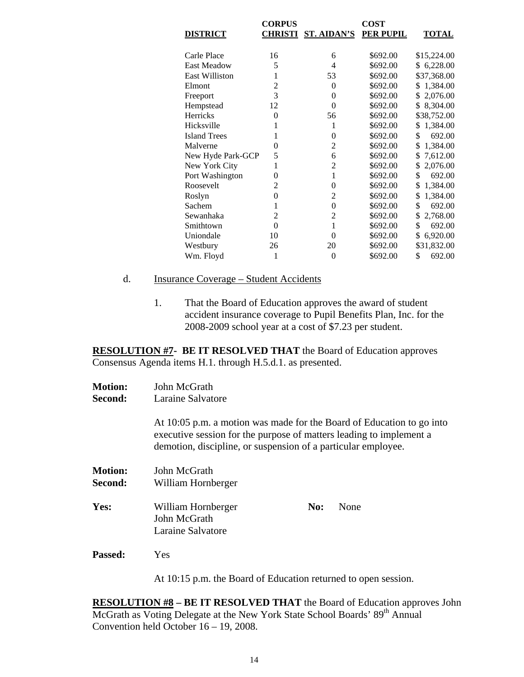|                     | <b>CORPUS</b>  |                    | <b>COST</b> |                 |
|---------------------|----------------|--------------------|-------------|-----------------|
| <b>DISTRICT</b>     | <b>CHRISTI</b> | <b>ST. AIDAN'S</b> | PER PUPIL   | <b>TOTAL</b>    |
|                     |                |                    |             |                 |
| Carle Place         | 16             | 6                  | \$692.00    | \$15,224.00     |
| <b>East Meadow</b>  | 5              | 4                  | \$692.00    | \$6,228.00      |
| East Williston      | 1              | 53                 | \$692.00    | \$37,368.00     |
| Elmont              | $\overline{c}$ | $\theta$           | \$692.00    | \$1,384.00      |
| Freeport            | 3              | $\theta$           | \$692.00    | \$2,076.00      |
| Hempstead           | 12             | $\theta$           | \$692.00    | 8,304.00<br>\$. |
| <b>Herricks</b>     | $\theta$       | 56                 | \$692.00    | \$38,752.00     |
| Hicksville          | 1              | 1                  | \$692.00    | 1,384.00<br>\$  |
| <b>Island Trees</b> | 1              | 0                  | \$692.00    | \$<br>692.00    |
| Malverne            | 0              | $\overline{c}$     | \$692.00    | \$<br>1,384.00  |
| New Hyde Park-GCP   | 5              | 6                  | \$692.00    | \$<br>7,612.00  |
| New York City       | 1              | $\overline{2}$     | \$692.00    | 2,076.00<br>\$  |
| Port Washington     | 0              | 1                  | \$692.00    | \$<br>692.00    |
| Roosevelt           | 2              | $\theta$           | \$692.00    | \$<br>1,384.00  |
| Roslyn              | 0              | 2                  | \$692.00    | \$<br>1,384.00  |
| Sachem              | 1              | $\theta$           | \$692.00    | \$<br>692.00    |
| Sewanhaka           | $\overline{2}$ | $\overline{2}$     | \$692.00    | \$<br>2,768.00  |
| Smithtown           | $\theta$       | 1                  | \$692.00    | \$<br>692.00    |
| Uniondale           | 10             | 0                  | \$692.00    | \$<br>6,920.00  |
| Westbury            | 26             | 20                 | \$692.00    | \$31,832.00     |
| Wm. Floyd           | 1              | $\theta$           | \$692.00    | \$<br>692.00    |

#### d. Insurance Coverage – Student Accidents

1. That the Board of Education approves the award of student accident insurance coverage to Pupil Benefits Plan, Inc. for the 2008-2009 school year at a cost of \$7.23 per student.

**RESOLUTION #7- BE IT RESOLVED THAT** the Board of Education approves Consensus Agenda items H.1. through H.5.d.1. as presented.

- **Motion:** John McGrath
- **Second:** Laraine Salvatore

At 10:05 p.m. a motion was made for the Board of Education to go into executive session for the purpose of matters leading to implement a demotion, discipline, or suspension of a particular employee.

| <b>Motion:</b> | John McGrath                                            |     |      |
|----------------|---------------------------------------------------------|-----|------|
| Second:        | William Hornberger                                      |     |      |
| Yes:           | William Hornberger<br>John McGrath<br>Laraine Salvatore | No: | None |
| <b>Passed:</b> | Yes                                                     |     |      |

At 10:15 p.m. the Board of Education returned to open session.

**RESOLUTION #8 – BE IT RESOLVED THAT** the Board of Education approves John McGrath as Voting Delegate at the New York State School Boards' 89<sup>th</sup> Annual Convention held October 16 – 19, 2008.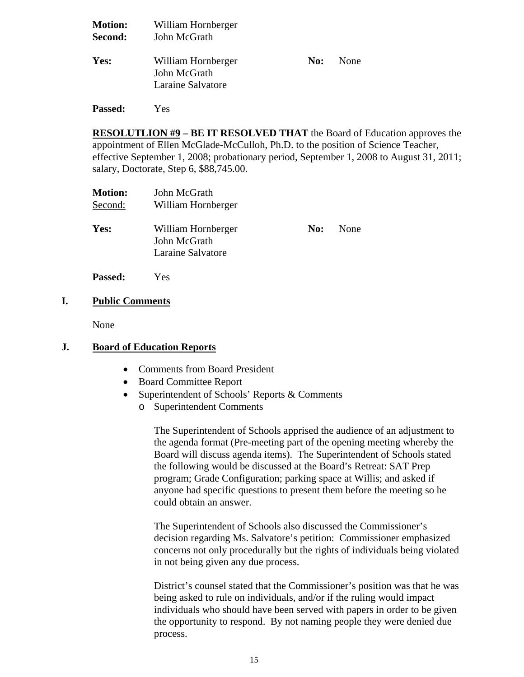| <b>Motion:</b><br>Second: | William Hornberger<br>John McGrath                      |     |      |  |
|---------------------------|---------------------------------------------------------|-----|------|--|
| Yes:                      | William Hornberger<br>John McGrath<br>Laraine Salvatore | No: | None |  |

**RESOLUTLION #9 – BE IT RESOLVED THAT** the Board of Education approves the appointment of Ellen McGlade-McCulloh, Ph.D. to the position of Science Teacher, effective September 1, 2008; probationary period, September 1, 2008 to August 31, 2011; salary, Doctorate, Step 6, \$88,745.00.

| <b>Motion:</b><br>Second: | John McGrath<br>William Hornberger                      |     |      |
|---------------------------|---------------------------------------------------------|-----|------|
| Yes:                      | William Hornberger<br>John McGrath<br>Laraine Salvatore | No: | None |
| <b>Passed:</b>            | Yes                                                     |     |      |

**I. Public Comments**

**Passed:** Yes

None

## **J. Board of Education Reports**

- Comments from Board President
- Board Committee Report
- Superintendent of Schools' Reports & Comments
	- o Superintendent Comments

The Superintendent of Schools apprised the audience of an adjustment to the agenda format (Pre-meeting part of the opening meeting whereby the Board will discuss agenda items). The Superintendent of Schools stated the following would be discussed at the Board's Retreat: SAT Prep program; Grade Configuration; parking space at Willis; and asked if anyone had specific questions to present them before the meeting so he could obtain an answer.

The Superintendent of Schools also discussed the Commissioner's decision regarding Ms. Salvatore's petition: Commissioner emphasized concerns not only procedurally but the rights of individuals being violated in not being given any due process.

District's counsel stated that the Commissioner's position was that he was being asked to rule on individuals, and/or if the ruling would impact individuals who should have been served with papers in order to be given the opportunity to respond. By not naming people they were denied due process.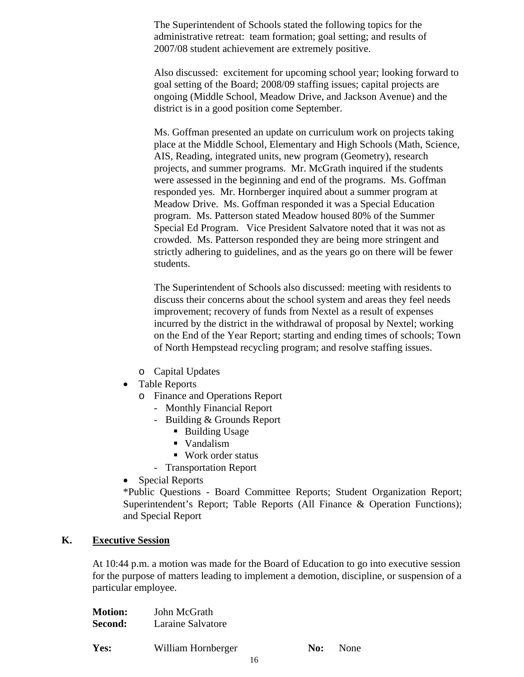The Superintendent of Schools stated the following topics for the administrative retreat: team formation; goal setting; and results of 2007/08 student achievement are extremely positive.

Also discussed: excitement for upcoming school year; looking forward to goal setting of the Board; 2008/09 staffing issues; capital projects are ongoing (Middle School, Meadow Drive, and Jackson Avenue) and the district is in a good position come September.

Ms. Goffman presented an update on curriculum work on projects taking place at the Middle School, Elementary and High Schools (Math, Science, AIS, Reading, integrated units, new program (Geometry), research projects, and summer programs. Mr. McGrath inquired if the students were assessed in the beginning and end of the programs. Ms. Goffman responded yes. Mr. Hornberger inquired about a summer program at Meadow Drive. Ms. Goffman responded it was a Special Education program. Ms. Patterson stated Meadow housed 80% of the Summer Special Ed Program. Vice President Salvatore noted that it was not as crowded. Ms. Patterson responded they are being more stringent and strictly adhering to guidelines, and as the years go on there will be fewer students.

The Superintendent of Schools also discussed: meeting with residents to discuss their concerns about the school system and areas they feel needs improvement; recovery of funds from Nextel as a result of expenses incurred by the district in the withdrawal of proposal by Nextel; working on the End of the Year Report; starting and ending times of schools; Town of North Hempstead recycling program; and resolve staffing issues.

- o Capital Updates
- Table Reports
	- o Finance and Operations Report
		- Monthly Financial Report
		- Building & Grounds Report
			- Building Usage
			- Vandalism
			- Work order status
		- Transportation Report
- Special Reports

\*Public Questions - Board Committee Reports; Student Organization Report; Superintendent's Report; Table Reports (All Finance & Operation Functions); and Special Report

#### **K. Executive Session**

At 10:44 p.m. a motion was made for the Board of Education to go into executive session for the purpose of matters leading to implement a demotion, discipline, or suspension of a particular employee.

| <b>Motion:</b> | John McGrath       |     |      |
|----------------|--------------------|-----|------|
| Second:        | Laraine Salvatore  |     |      |
| Yes:           | William Hornberger | No: | None |